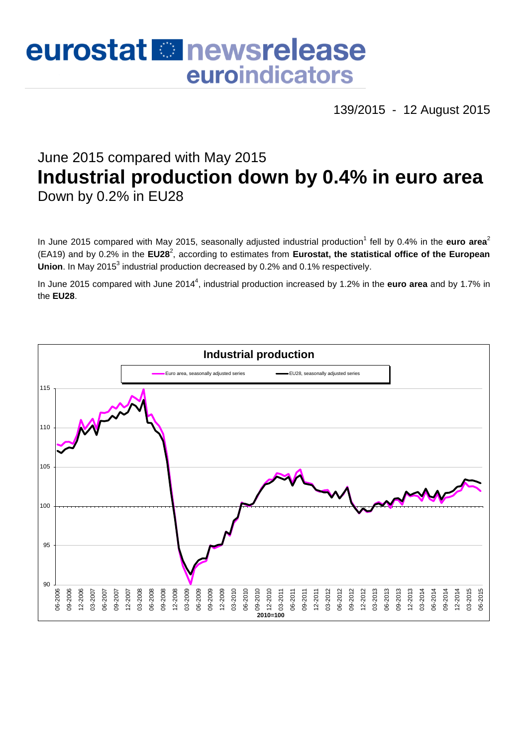# eurostat **Et newsrelease** euroindicators

139/2015 - 12 August 2015

# June 2015 compared with May 2015 **Industrial production down by 0.4% in euro area** Down by 0.2% in EU28

In June 2015 compared with May 2015, seasonally adjusted industrial production<sup>1</sup> fell by 0.4% in the euro area<sup>2</sup> (EA19) and by 0.2% in the EU28<sup>2</sup>, according to estimates from Eurostat, the statistical office of the European Union. In May 2015<sup>3</sup> industrial production decreased by 0.2% and 0.1% respectively.

In June 2015 compared with June 2014<sup>4</sup>, industrial production increased by 1.2% in the **euro area** and by 1.7% in the **EU28**.

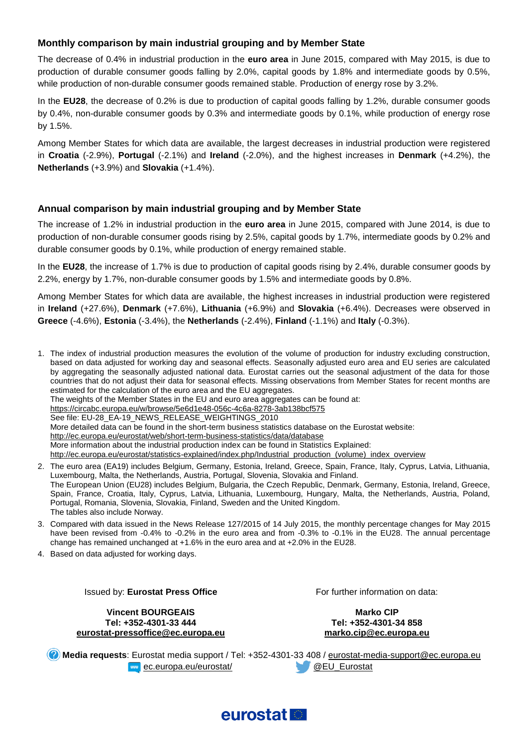# **Monthly comparison by main industrial grouping and by Member State**

The decrease of 0.4% in industrial production in the **euro area** in June 2015, compared with May 2015, is due to production of durable consumer goods falling by 2.0%, capital goods by 1.8% and intermediate goods by 0.5%, while production of non-durable consumer goods remained stable. Production of energy rose by 3.2%.

In the **EU28**, the decrease of 0.2% is due to production of capital goods falling by 1.2%, durable consumer goods by 0.4%, non-durable consumer goods by 0.3% and intermediate goods by 0.1%, while production of energy rose by 1.5%.

Among Member States for which data are available, the largest decreases in industrial production were registered in **Croatia** (-2.9%), **Portugal** (-2.1%) and **Ireland** (-2.0%), and the highest increases in **Denmark** (+4.2%), the **Netherlands** (+3.9%) and **Slovakia** (+1.4%).

#### **Annual comparison by main industrial grouping and by Member State**

The increase of 1.2% in industrial production in the **euro area** in June 2015, compared with June 2014, is due to production of non-durable consumer goods rising by 2.5%, capital goods by 1.7%, intermediate goods by 0.2% and durable consumer goods by 0.1%, while production of energy remained stable.

In the **EU28**, the increase of 1.7% is due to production of capital goods rising by 2.4%, durable consumer goods by 2.2%, energy by 1.7%, non-durable consumer goods by 1.5% and intermediate goods by 0.8%.

Among Member States for which data are available, the highest increases in industrial production were registered in **Ireland** (+27.6%), **Denmark** (+7.6%), **Lithuania** (+6.9%) and **Slovakia** (+6.4%). Decreases were observed in **Greece** (-4.6%), **Estonia** (-3.4%), the **Netherlands** (-2.4%), **Finland** (-1.1%) and **Italy** (-0.3%).

1. The index of industrial production measures the evolution of the volume of production for industry excluding construction, based on data adjusted for working day and seasonal effects. Seasonally adjusted euro area and EU series are calculated by aggregating the seasonally adjusted national data. Eurostat carries out the seasonal adjustment of the data for those countries that do not adjust their data for seasonal effects. Missing observations from Member States for recent months are estimated for the calculation of the euro area and the EU aggregates. The weights of the Member States in the EU and euro area aggregates can be found at: <https://circabc.europa.eu/w/browse/5e6d1e48-056c-4c6a-8278-3ab138bcf575> See file: EU-28\_EA-19\_NEWS\_RELEASE\_WEIGHTINGS\_2010 More detailed data can be found in the short-term business statistics database on the Eurostat website: <http://ec.europa.eu/eurostat/web/short-term-business-statistics/data/database> More information about the industrial production index can be found in Statistics Explained: [http://ec.europa.eu/eurostat/statistics-explained/index.php/Industrial\\_production\\_\(volume\)\\_index\\_overview](http://ec.europa.eu/eurostat/statistics-explained/index.php/Industrial_production_(volume)_index_overview)

- 2. The euro area (EA19) includes Belgium, Germany, Estonia, Ireland, Greece, Spain, France, Italy, Cyprus, Latvia, Lithuania, Luxembourg, Malta, the Netherlands, Austria, Portugal, Slovenia, Slovakia and Finland. The European Union (EU28) includes Belgium, Bulgaria, the Czech Republic, Denmark, Germany, Estonia, Ireland, Greece, Spain, France, Croatia, Italy, Cyprus, Latvia, Lithuania, Luxembourg, Hungary, Malta, the Netherlands, Austria, Poland, Portugal, Romania, Slovenia, Slovakia, Finland, Sweden and the United Kingdom. The tables also include Norway.
- 3. Compared with data issued in the News Release 127/2015 of 14 July 2015, the monthly percentage changes for May 2015 have been revised from -0.4% to -0.2% in the euro area and from -0.3% to -0.1% in the EU28. The annual percentage change has remained unchanged at +1.6% in the euro area and at +2.0% in the EU28.
- 4. Based on data adjusted for working days.

Issued by: **Eurostat Press Office**

**Vincent BOURGEAIS Tel: +352-4301-33 444 [eurostat-pressoffice@ec.europa.eu](mailto:eurostat-pressoffice@ec.europa.eu)** For further information on data:

**Marko CIP Tel: +352-4301-34 858 [marko.cip@ec.europa.eu](mailto:marko.cip@ec.europa.eu)**

**Media requests**: Eurostat media support / Tel: +352-4301-33 408 / [eurostat-media-support@ec.europa.eu](mailto:eurostat-media-support@ec.europa.eu) **EXECUTE:** [ec.europa.eu/eurostat/](http://ec.europa.eu/eurostat/) **ACCULEU** Eurostat

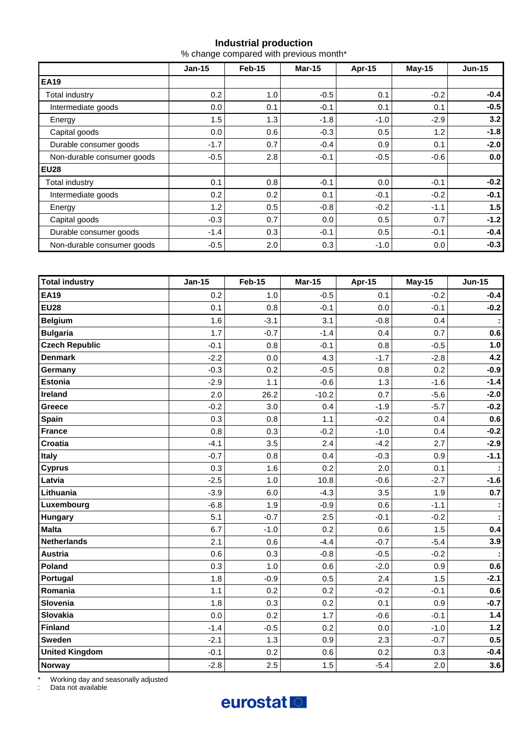# **Industrial production**

% change compared with previous month\*

|                            | $Jan-15$ | Feb-15 | <b>Mar-15</b> | Apr-15 | <b>May-15</b> | <b>Jun-15</b> |
|----------------------------|----------|--------|---------------|--------|---------------|---------------|
| <b>EA19</b>                |          |        |               |        |               |               |
| Total industry             | 0.2      | 1.0    | $-0.5$        | 0.1    | $-0.2$        | $-0.4$        |
| Intermediate goods         | 0.0      | 0.1    | $-0.1$        | 0.1    | 0.1           | $-0.5$        |
| Energy                     | 1.5      | 1.3    | $-1.8$        | $-1.0$ | $-2.9$        | 3.2           |
| Capital goods              | 0.0      | 0.6    | $-0.3$        | 0.5    | 1.2           | $-1.8$        |
| Durable consumer goods     | $-1.7$   | 0.7    | $-0.4$        | 0.9    | 0.1           | $-2.0$        |
| Non-durable consumer goods | $-0.5$   | 2.8    | $-0.1$        | $-0.5$ | $-0.6$        | 0.0           |
| <b>EU28</b>                |          |        |               |        |               |               |
| Total industry             | 0.1      | 0.8    | $-0.1$        | 0.0    | $-0.1$        | $-0.2$        |
| Intermediate goods         | 0.2      | 0.2    | 0.1           | $-0.1$ | $-0.2$        | $-0.1$        |
| Energy                     | 1.2      | 0.5    | $-0.8$        | $-0.2$ | $-1.1$        | 1.5           |
| Capital goods              | $-0.3$   | 0.7    | 0.0           | 0.5    | 0.7           | $-1.2$        |
| Durable consumer goods     | $-1.4$   | 0.3    | $-0.1$        | 0.5    | $-0.1$        | $-0.4$        |
| Non-durable consumer goods | $-0.5$   | 2.0    | 0.3           | $-1.0$ | 0.0           | $-0.3$        |

| <b>Total industry</b> | <b>Jan-15</b> | <b>Feb-15</b> | <b>Mar-15</b> | Apr-15 | <b>May-15</b> | <b>Jun-15</b> |
|-----------------------|---------------|---------------|---------------|--------|---------------|---------------|
| <b>EA19</b>           | 0.2           | 1.0           | $-0.5$        | 0.1    | $-0.2$        | $-0.4$        |
| <b>EU28</b>           | 0.1           | 0.8           | $-0.1$        | 0.0    | $-0.1$        | $-0.2$        |
| <b>Belgium</b>        | 1.6           | $-3.1$        | 3.1           | $-0.8$ | 0.4           |               |
| <b>Bulgaria</b>       | 1.7           | $-0.7$        | $-1.4$        | 0.4    | 0.7           | 0.6           |
| <b>Czech Republic</b> | $-0.1$        | 0.8           | $-0.1$        | 0.8    | $-0.5$        | 1.0           |
| <b>Denmark</b>        | $-2.2$        | 0.0           | 4.3           | $-1.7$ | $-2.8$        | 4.2           |
| Germany               | $-0.3$        | 0.2           | $-0.5$        | 0.8    | 0.2           | $-0.9$        |
| <b>Estonia</b>        | $-2.9$        | 1.1           | $-0.6$        | 1.3    | $-1.6$        | $-1.4$        |
| Ireland               | 2.0           | 26.2          | $-10.2$       | 0.7    | $-5.6$        | $-2.0$        |
| Greece                | $-0.2$        | 3.0           | 0.4           | $-1.9$ | $-5.7$        | $-0.2$        |
| <b>Spain</b>          | 0.3           | 0.8           | 1.1           | $-0.2$ | 0.4           | 0.6           |
| <b>France</b>         | 0.8           | 0.3           | $-0.2$        | $-1.0$ | 0.4           | $-0.2$        |
| <b>Croatia</b>        | $-4.1$        | 3.5           | 2.4           | $-4.2$ | 2.7           | $-2.9$        |
| Italy                 | $-0.7$        | 0.8           | 0.4           | $-0.3$ | 0.9           | $-1.1$        |
| <b>Cyprus</b>         | 0.3           | 1.6           | 0.2           | 2.0    | 0.1           |               |
| Latvia                | $-2.5$        | 1.0           | 10.8          | $-0.6$ | $-2.7$        | $-1.6$        |
| Lithuania             | $-3.9$        | 6.0           | $-4.3$        | 3.5    | 1.9           | 0.7           |
| Luxembourg            | $-6.8$        | 1.9           | $-0.9$        | 0.6    | $-1.1$        |               |
| Hungary               | 5.1           | $-0.7$        | 2.5           | $-0.1$ | $-0.2$        |               |
| <b>Malta</b>          | 6.7           | $-1.0$        | 0.2           | 0.6    | 1.5           | 0.4           |
| <b>Netherlands</b>    | 2.1           | 0.6           | $-4.4$        | $-0.7$ | $-5.4$        | 3.9           |
| <b>Austria</b>        | 0.6           | 0.3           | $-0.8$        | $-0.5$ | $-0.2$        |               |
| Poland                | 0.3           | 1.0           | 0.6           | $-2.0$ | 0.9           | 0.6           |
| Portugal              | 1.8           | $-0.9$        | 0.5           | 2.4    | 1.5           | $-2.1$        |
| Romania               | 1.1           | 0.2           | 0.2           | $-0.2$ | $-0.1$        | 0.6           |
| Slovenia              | 1.8           | 0.3           | 0.2           | 0.1    | 0.9           | $-0.7$        |
| <b>Slovakia</b>       | 0.0           | 0.2           | 1.7           | $-0.6$ | $-0.1$        | $1.4$         |
| <b>Finland</b>        | $-1.4$        | $-0.5$        | 0.2           | 0.0    | $-1.0$        | $1.2$         |
| <b>Sweden</b>         | $-2.1$        | 1.3           | 0.9           | 2.3    | $-0.7$        | 0.5           |
| <b>United Kingdom</b> | $-0.1$        | 0.2           | 0.6           | 0.2    | 0.3           | $-0.4$        |
| <b>Norway</b>         | $-2.8$        | 2.5           | 1.5           | $-5.4$ | 2.0           | 3.6           |

\* Working day and seasonally adjusted

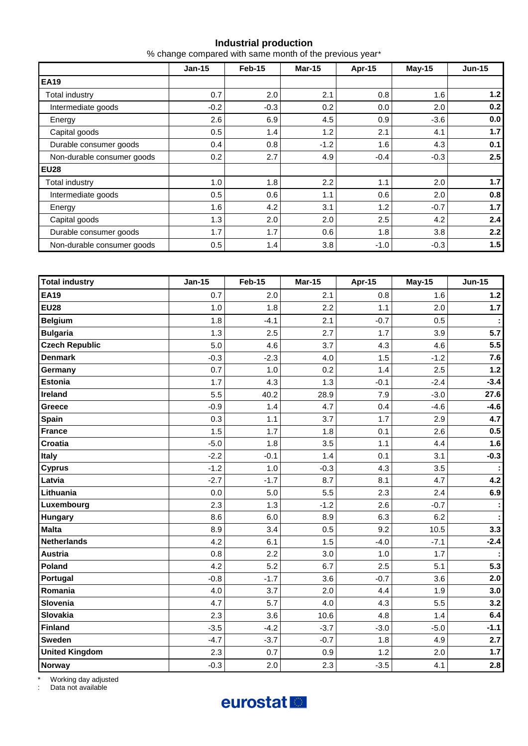#### **Industrial production**

% change compared with same month of the previous year\*

|                            | $Jan-15$ | Feb-15 | <b>Mar-15</b> | Apr-15 | $May-15$ | $Jun-15$         |
|----------------------------|----------|--------|---------------|--------|----------|------------------|
| <b>EA19</b>                |          |        |               |        |          |                  |
| Total industry             | 0.7      | 2.0    | 2.1           | 0.8    | 1.6      | 1.2 <sub>l</sub> |
| Intermediate goods         | $-0.2$   | $-0.3$ | 0.2           | 0.0    | 2.0      | 0.2              |
| Energy                     | 2.6      | 6.9    | 4.5           | 0.9    | $-3.6$   | 0.0              |
| Capital goods              | 0.5      | 1.4    | 1.2           | 2.1    | 4.1      | 1.7              |
| Durable consumer goods     | 0.4      | 0.8    | $-1.2$        | 1.6    | 4.3      | 0.1              |
| Non-durable consumer goods | 0.2      | 2.7    | 4.9           | $-0.4$ | $-0.3$   | 2.5              |
| <b>EU28</b>                |          |        |               |        |          |                  |
| Total industry             | 1.0      | 1.8    | 2.2           | 1.1    | 2.0      | 1.7              |
| Intermediate goods         | 0.5      | 0.6    | 1.1           | 0.6    | 2.0      | 0.8              |
| Energy                     | 1.6      | 4.2    | 3.1           | 1.2    | $-0.7$   | 1.7              |
| Capital goods              | 1.3      | 2.0    | 2.0           | 2.5    | 4.2      | 2.4              |
| Durable consumer goods     | 1.7      | 1.7    | 0.6           | 1.8    | 3.8      | 2.2              |
| Non-durable consumer goods | 0.5      | 1.4    | 3.8           | $-1.0$ | $-0.3$   | 1.5              |

| <b>Total industry</b> | <b>Jan-15</b> | <b>Feb-15</b> | <b>Mar-15</b> | <b>Apr-15</b> | $May-15$ | <b>Jun-15</b> |
|-----------------------|---------------|---------------|---------------|---------------|----------|---------------|
| <b>EA19</b>           | 0.7           | 2.0           | 2.1           | 0.8           | 1.6      | $1.2$         |
| <b>EU28</b>           | 1.0           | 1.8           | 2.2           | 1.1           | 2.0      | 1.7           |
| <b>Belgium</b>        | 1.8           | $-4.1$        | 2.1           | $-0.7$        | 0.5      |               |
| <b>Bulgaria</b>       | 1.3           | 2.5           | 2.7           | 1.7           | 3.9      | 5.7           |
| <b>Czech Republic</b> | 5.0           | 4.6           | 3.7           | 4.3           | 4.6      | 5.5           |
| <b>Denmark</b>        | $-0.3$        | $-2.3$        | 4.0           | 1.5           | $-1.2$   | 7.6           |
| Germany               | 0.7           | 1.0           | 0.2           | 1.4           | 2.5      | $1.2$         |
| Estonia               | 1.7           | 4.3           | 1.3           | $-0.1$        | $-2.4$   | $-3.4$        |
| Ireland               | 5.5           | 40.2          | 28.9          | 7.9           | $-3.0$   | 27.6          |
| Greece                | $-0.9$        | 1.4           | 4.7           | 0.4           | $-4.6$   | $-4.6$        |
| Spain                 | 0.3           | 1.1           | 3.7           | 1.7           | 2.9      | 4.7           |
| <b>France</b>         | 1.5           | 1.7           | 1.8           | 0.1           | 2.6      | 0.5           |
| Croatia               | $-5.0$        | 1.8           | 3.5           | 1.1           | 4.4      | 1.6           |
| Italy                 | $-2.2$        | $-0.1$        | 1.4           | 0.1           | 3.1      | $-0.3$        |
| <b>Cyprus</b>         | $-1.2$        | 1.0           | $-0.3$        | 4.3           | 3.5      | ÷             |
| Latvia                | $-2.7$        | $-1.7$        | 8.7           | 8.1           | 4.7      | 4.2           |
| Lithuania             | 0.0           | 5.0           | 5.5           | 2.3           | 2.4      | 6.9           |
| Luxembourg            | 2.3           | 1.3           | $-1.2$        | 2.6           | $-0.7$   | ÷             |
| <b>Hungary</b>        | 8.6           | 6.0           | 8.9           | 6.3           | 6.2      |               |
| <b>Malta</b>          | 8.9           | 3.4           | 0.5           | 9.2           | 10.5     | 3.3           |
| <b>Netherlands</b>    | 4.2           | 6.1           | 1.5           | $-4.0$        | $-7.1$   | $-2.4$        |
| <b>Austria</b>        | 0.8           | 2.2           | 3.0           | 1.0           | 1.7      |               |
| Poland                | 4.2           | 5.2           | 6.7           | 2.5           | 5.1      | 5.3           |
| Portugal              | $-0.8$        | $-1.7$        | 3.6           | $-0.7$        | 3.6      | 2.0           |
| Romania               | 4.0           | 3.7           | 2.0           | 4.4           | 1.9      | 3.0           |
| Slovenia              | 4.7           | 5.7           | 4.0           | 4.3           | 5.5      | 3.2           |
| Slovakia              | 2.3           | 3.6           | 10.6          | 4.8           | 1.4      | 6.4           |
| <b>Finland</b>        | $-3.5$        | $-4.2$        | $-3.7$        | $-3.0$        | $-5.0$   | $-1.1$        |
| Sweden                | $-4.7$        | $-3.7$        | $-0.7$        | 1.8           | 4.9      | 2.7           |
| <b>United Kingdom</b> | 2.3           | 0.7           | 0.9           | 1.2           | 2.0      | 1.7           |
| <b>Norway</b>         | $-0.3$        | 2.0           | 2.3           | $-3.5$        | 4.1      | 2.8           |

\* Working day adjusted

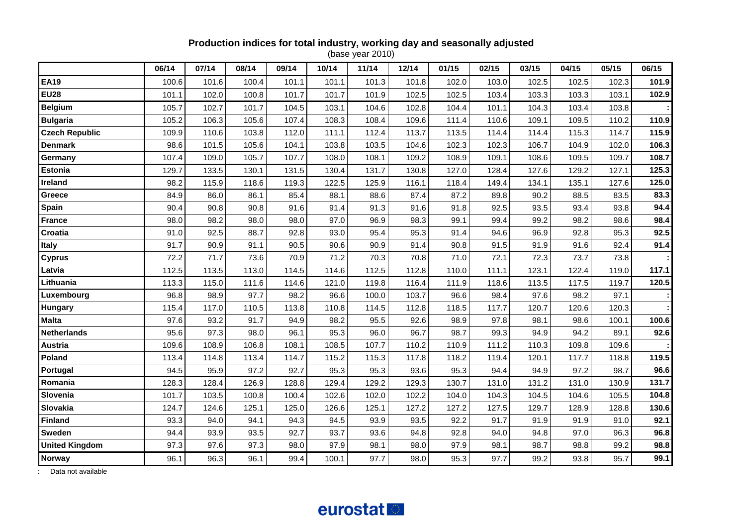# **Production indices for total industry, working day and seasonally adjusted**

(base year 2010)

|                       | 06/14 | 07/14 | 08/14 | 09/14 | 10/14 | 11/14 | 12/14 | 01/15 | 02/15 | 03/15 | 04/15 | 05/15 | 06/15 |
|-----------------------|-------|-------|-------|-------|-------|-------|-------|-------|-------|-------|-------|-------|-------|
| <b>EA19</b>           | 100.6 | 101.6 | 100.4 | 101.1 | 101.1 | 101.3 | 101.8 | 102.0 | 103.0 | 102.5 | 102.5 | 102.3 | 101.9 |
| <b>EU28</b>           | 101.1 | 102.0 | 100.8 | 101.7 | 101.7 | 101.9 | 102.5 | 102.5 | 103.4 | 103.3 | 103.3 | 103.1 | 102.9 |
| <b>Belgium</b>        | 105.7 | 102.7 | 101.7 | 104.5 | 103.1 | 104.6 | 102.8 | 104.4 | 101.1 | 104.3 | 103.4 | 103.8 |       |
| <b>Bulgaria</b>       | 105.2 | 106.3 | 105.6 | 107.4 | 108.3 | 108.4 | 109.6 | 111.4 | 110.6 | 109.1 | 109.5 | 110.2 | 110.9 |
| <b>Czech Republic</b> | 109.9 | 110.6 | 103.8 | 112.0 | 111.1 | 112.4 | 113.7 | 113.5 | 114.4 | 114.4 | 115.3 | 114.7 | 115.9 |
| <b>Denmark</b>        | 98.6  | 101.5 | 105.6 | 104.1 | 103.8 | 103.5 | 104.6 | 102.3 | 102.3 | 106.7 | 104.9 | 102.0 | 106.3 |
| Germany               | 107.4 | 109.0 | 105.7 | 107.7 | 108.0 | 108.1 | 109.2 | 108.9 | 109.1 | 108.6 | 109.5 | 109.7 | 108.7 |
| <b>Estonia</b>        | 129.7 | 133.5 | 130.1 | 131.5 | 130.4 | 131.7 | 130.8 | 127.0 | 128.4 | 127.6 | 129.2 | 127.1 | 125.3 |
| <b>Ireland</b>        | 98.2  | 115.9 | 118.6 | 119.3 | 122.5 | 125.9 | 116.1 | 118.4 | 149.4 | 134.1 | 135.1 | 127.6 | 125.0 |
| Greece                | 84.9  | 86.0  | 86.1  | 85.4  | 88.1  | 88.6  | 87.4  | 87.2  | 89.8  | 90.2  | 88.5  | 83.5  | 83.3  |
| Spain                 | 90.4  | 90.8  | 90.8  | 91.6  | 91.4  | 91.3  | 91.6  | 91.8  | 92.5  | 93.5  | 93.4  | 93.8  | 94.4  |
| <b>France</b>         | 98.0  | 98.2  | 98.0  | 98.0  | 97.0  | 96.9  | 98.3  | 99.1  | 99.4  | 99.2  | 98.2  | 98.6  | 98.4  |
| Croatia               | 91.0  | 92.5  | 88.7  | 92.8  | 93.0  | 95.4  | 95.3  | 91.4  | 94.6  | 96.9  | 92.8  | 95.3  | 92.5  |
| Italy                 | 91.7  | 90.9  | 91.1  | 90.5  | 90.6  | 90.9  | 91.4  | 90.8  | 91.5  | 91.9  | 91.6  | 92.4  | 91.4  |
| <b>Cyprus</b>         | 72.2  | 71.7  | 73.6  | 70.9  | 71.2  | 70.3  | 70.8  | 71.0  | 72.1  | 72.3  | 73.7  | 73.8  |       |
| Latvia                | 112.5 | 113.5 | 113.0 | 114.5 | 114.6 | 112.5 | 112.8 | 110.0 | 111.1 | 123.1 | 122.4 | 119.0 | 117.1 |
| Lithuania             | 113.3 | 115.0 | 111.6 | 114.6 | 121.0 | 119.8 | 116.4 | 111.9 | 118.6 | 113.5 | 117.5 | 119.7 | 120.5 |
| Luxembourg            | 96.8  | 98.9  | 97.7  | 98.2  | 96.6  | 100.0 | 103.7 | 96.6  | 98.4  | 97.6  | 98.2  | 97.1  |       |
| <b>Hungary</b>        | 115.4 | 117.0 | 110.5 | 113.8 | 110.8 | 114.5 | 112.8 | 118.5 | 117.7 | 120.7 | 120.6 | 120.3 |       |
| <b>Malta</b>          | 97.6  | 93.2  | 91.7  | 94.9  | 98.2  | 95.5  | 92.6  | 98.9  | 97.8  | 98.1  | 98.6  | 100.1 | 100.6 |
| <b>Netherlands</b>    | 95.6  | 97.3  | 98.0  | 96.1  | 95.3  | 96.0  | 96.7  | 98.7  | 99.3  | 94.9  | 94.2  | 89.1  | 92.6  |
| <b>Austria</b>        | 109.6 | 108.9 | 106.8 | 108.1 | 108.5 | 107.7 | 110.2 | 110.9 | 111.2 | 110.3 | 109.8 | 109.6 |       |
| Poland                | 113.4 | 114.8 | 113.4 | 114.7 | 115.2 | 115.3 | 117.8 | 118.2 | 119.4 | 120.1 | 117.7 | 118.8 | 119.5 |
| Portugal              | 94.5  | 95.9  | 97.2  | 92.7  | 95.3  | 95.3  | 93.6  | 95.3  | 94.4  | 94.9  | 97.2  | 98.7  | 96.6  |
| Romania               | 128.3 | 128.4 | 126.9 | 128.8 | 129.4 | 129.2 | 129.3 | 130.7 | 131.0 | 131.2 | 131.0 | 130.9 | 131.7 |
| Slovenia              | 101.7 | 103.5 | 100.8 | 100.4 | 102.6 | 102.0 | 102.2 | 104.0 | 104.3 | 104.5 | 104.6 | 105.5 | 104.8 |
| Slovakia              | 124.7 | 124.6 | 125.1 | 125.0 | 126.6 | 125.1 | 127.2 | 127.2 | 127.5 | 129.7 | 128.9 | 128.8 | 130.6 |
| <b>Finland</b>        | 93.3  | 94.0  | 94.1  | 94.3  | 94.5  | 93.9  | 93.5  | 92.2  | 91.7  | 91.9  | 91.9  | 91.0  | 92.1  |
| <b>Sweden</b>         | 94.4  | 93.9  | 93.5  | 92.7  | 93.7  | 93.6  | 94.8  | 92.8  | 94.0  | 94.8  | 97.0  | 96.3  | 96.8  |
| <b>United Kingdom</b> | 97.3  | 97.6  | 97.3  | 98.0  | 97.9  | 98.1  | 98.0  | 97.9  | 98.1  | 98.7  | 98.8  | 99.2  | 98.8  |
| Norway                | 96.1  | 96.3  | 96.1  | 99.4  | 100.1 | 97.7  | 98.0  | 95.3  | 97.7  | 99.2  | 93.8  | 95.7  | 99.1  |